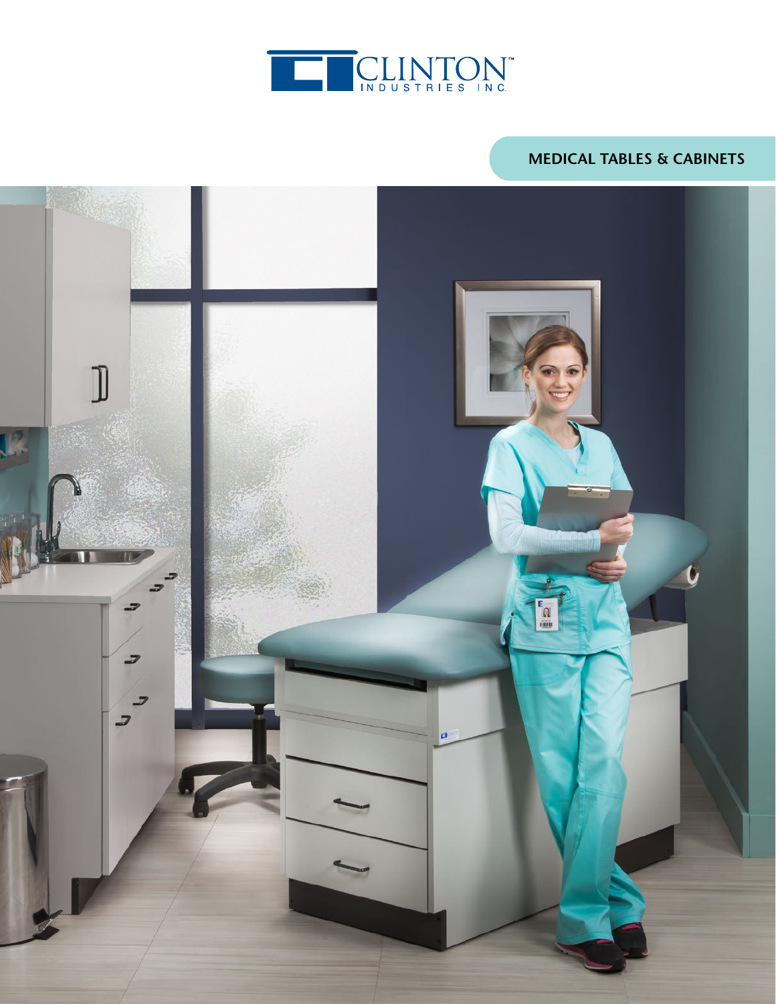

# **MEDICAL TABLES & CABINETS**

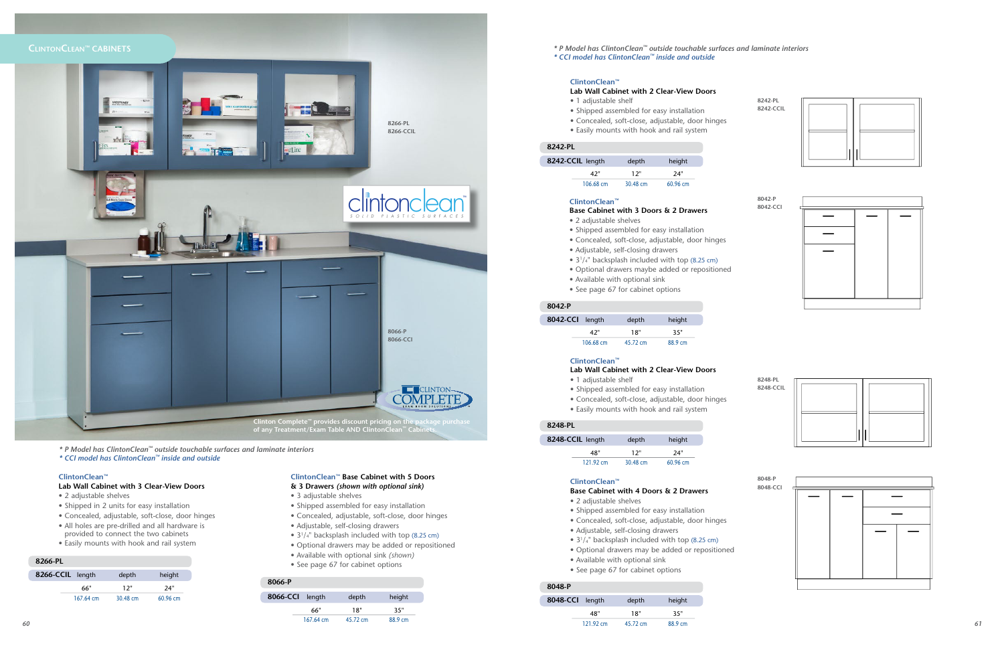# **CLINTONCLEAN™ CABINETS**

# **ClintonClean™**

- **Lab Wall Cabinet with 2 Clear-View Doors**
- 1 adjustable shelf
- Shipped assembled for easy installation
- Concealed, soft-close, adjustable, door hinges
- Easily mounts with hook and rail system

| 8242-CCIL length | depth    | height   |
|------------------|----------|----------|
| 42"              | 12"      | 24"      |
| 106.68 cm        | 30.48 cm | 60.96 cm |

#### **8242-PL**

# **ClintonClean™**

## **Base Cabinet with 3 Doors & 2 Drawers**

- 2 adjustable shelves
- Shipped assembled for easy installation
- Concealed, soft-close, adjustable, door hinges
- Adjustable, self-closing drawers
- 3<sup>1</sup>/<sub>4</sub>" backsplash included with top (8.25 cm)
- Optional drawers maybe added or repositioned
- Available with optional sink
- See page 67 for cabinet options

| 8042-CCI length |                     | depth    | height  |
|-----------------|---------------------|----------|---------|
|                 | 42"                 | 18"      | 35"     |
|                 | $106.68 \text{ cm}$ | 45.72 cm | 88.9 cm |

#### **8042-P**

## **ClintonClean™**

# **Lab Wall Cabinet with 2 Clear-View Doors**

- 1 adjustable shelf
- Shipped assembled for easy installation
- Concealed, soft-close, adjustable, door hinges
- Easily mounts with hook and rail system

| 8248-CCIL length |                     | depth    | height   |
|------------------|---------------------|----------|----------|
|                  | 48"                 | 12"      | 24"      |
|                  | $121.92 \text{ cm}$ | 30.48 cm | 60.96 cm |

### **8248-PL**

# **ClintonClean™**

# **Base Cabinet with 4 Doors & 2 Drawers**



- 2 adjustable shelves
- Shipped assembled for easy installation
	- Concealed, soft-close, adjustable, door hinges
	- Adjustable, self-closing drawers
	- 3<sup>1</sup>/<sub>4</sub>" backsplash included with top (8.25 cm)
	- Optional drawers may be added or repositioned
	- Available with optional sink
	- See page 67 for cabinet options

| 8048-CCI length |                     | depth    | height  |
|-----------------|---------------------|----------|---------|
|                 | 48"                 | 18"      | 35"     |
|                 | $121.92 \text{ cm}$ | 45.72 cm | 88.9 cm |

#### **8048-P**

# **ClintonClean™ Base Cabinet with 5 Doors**

- **& 3 Drawers** *(shown with optional sink)*
- 3 adjustable shelves
- Shipped assembled for easy installation
- Concealed, adjustable, soft-close, door hinges
- Adjustable, self-closing drawers
- 3<sup>1</sup>/<sub>4</sub>" backsplash included with top (8.25 cm)
- Optional drawers may be added or repositioned
- Available with optional sink *(shown)*
- See page 67 for cabinet options

| 8066-CCI length |                     | depth    | height  |
|-----------------|---------------------|----------|---------|
|                 | 66"                 | 18"      | 35"     |
|                 | $167.64 \text{ cm}$ | 45.72 cm | 88.9 cm |

# **8066-P**

#### **ClintonClean™**

### **Lab Wall Cabinet with 3 Clear-View Doors**

- 2 adjustable shelves
- Shipped in 2 units for easy installation
- Concealed, adjustable, soft-close, door hinges
- All holes are pre-drilled and all hardware is provided to connect the two cabinets
- Easily mounts with hook and rail system

| 8266-CCIL length |                     | depth    | height     |
|------------------|---------------------|----------|------------|
|                  | 66"                 | 12"      | 24"        |
|                  | $167.64 \text{ cm}$ | 30.48 cm | $60.96$ cm |

# **8266-PL**

*61*





*\* P Model has ClintonClean™ outside touchable surfaces and laminate interiors*

*\* CCI model has ClintonClean™ inside and outside*

*\* P Model has ClintonClean™ outside touchable surfaces and laminate interiors \* CCI model has ClintonClean™ inside and outside*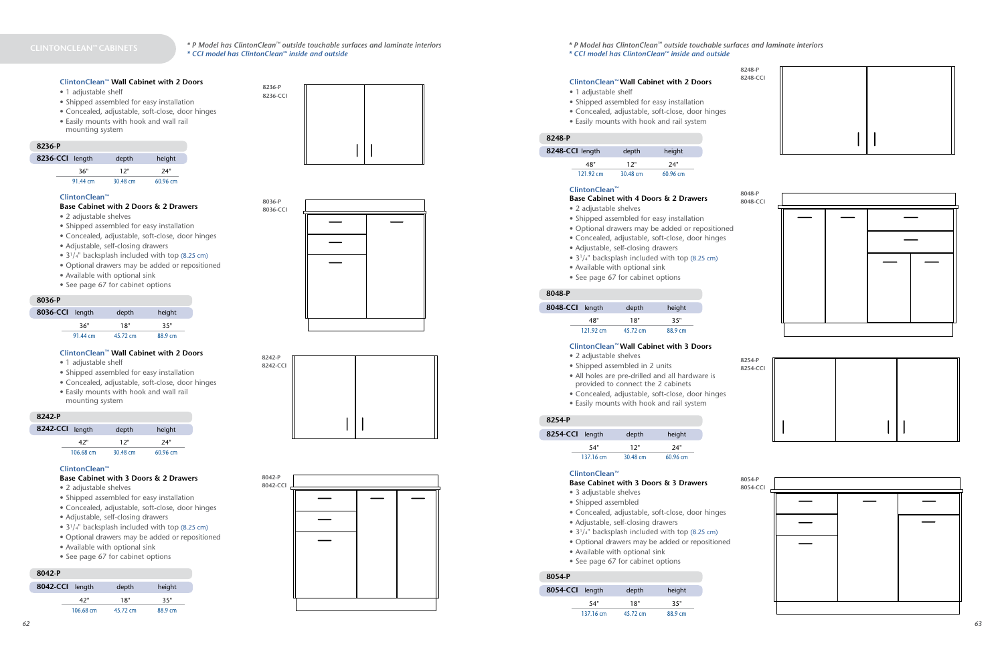# **ClintonClean™ Wall Cabinet with 2 Doors**

- 1 adjustable shelf
- Shipped assembled for easy installation
- Concealed, adjustable, soft-close, door hinges
- Easily mounts with hook and wall rail mounting system

| 8236-CCI length |          | depth    | height     |
|-----------------|----------|----------|------------|
|                 | 36"      | 12"      | 24"        |
|                 | 91.44 cm | 30.48 cm | $60.96$ cm |

#### **8236-P**

#### **8036-P**

### **8242-P**

# **8042-P**

#### **ClintonClean™**

#### **Base Cabinet with 2 Doors & 2 Drawers**

- 2 adjustable shelves
- Shipped assembled for easy installation
- Concealed, adjustable, soft-close, door hinges
- Adjustable, self-closing drawers
- 3<sup>1</sup>/<sub>4</sub>" backsplash included with top (8.25 cm)
- Optional drawers may be added or repositioned
- Available with optional sink
- See page 67 for cabinet options

| 8036-CCI length |          | depth    | height  |
|-----------------|----------|----------|---------|
|                 | 36"      | 18"      | 35"     |
|                 | 91.44 cm | 45.72 cm | 88.9 cm |

### **ClintonClean™ Wall Cabinet with 2 Doors**

- 1 adjustable shelf
- Shipped assembled for easy installation
- Concealed, adjustable, soft-close, door hinges
- Easily mounts with hook and wall rail mounting system

| 8242-CCI length |           | depth    | height   |
|-----------------|-----------|----------|----------|
|                 | 42"       | 12"      | 24"      |
|                 | 106.68 cm | 30.48 cm | 60.96 cm |

#### **ClintonClean™**

# **Base Cabinet with 3 Doors & 2 Drawers**

- 2 adjustable shelves
- Shipped assembled for easy installation
- Concealed, adjustable, soft-close, door hinges
- Adjustable, self-closing drawers
- 3<sup>1</sup>/<sub>4</sub>" backsplash included with top (8.25 cm)
- Optional drawers may be added or repositioned
- Available with optional sink
- See page 67 for cabinet options

| 8042-CCI length |           | depth    | height  |
|-----------------|-----------|----------|---------|
|                 | 42"       | 18"      | 35"     |
|                 | 106.68 cm | 45.72 cm | 88.9 cm |





 **8236-P 8236-CCI**



| 8042-P<br>8042-CCI |  |  |
|--------------------|--|--|
|                    |  |  |
|                    |  |  |
|                    |  |  |
|                    |  |  |
|                    |  |  |
|                    |  |  |
|                    |  |  |

#### **ClintonClean™ Wall Cabinet with 2 Doors**

- 1 adjustable shelf
- Shipped assembled for easy installation
- Concealed, adjustable, soft-close, door hinges
- Easily mounts with hook and rail system

| 8248-CCI length     | depth    | height     |
|---------------------|----------|------------|
| 48"                 | 12"      | 24"        |
| $121.92 \text{ cm}$ | 30.48 cm | $60.96$ cm |

# **ClintonClean™**

# **Base Cabinet with 4 Doors & 2 Drawers**

- 2 adjustable shelves
- Shipped assembled for easy installation
- Optional drawers may be added or repositioned
- Concealed, adjustable, soft-close, door hinges
- Adjustable, self-closing drawers
- 3<sup>1</sup>/<sub>4</sub>" backsplash included with top (8.25 cm)
- Available with optional sink
- See page 67 for cabinet options

| 8048-CCI length |                     | depth    | height  |
|-----------------|---------------------|----------|---------|
|                 | 48"                 | 18"      | 35"     |
|                 | $121.92 \text{ cm}$ | 45.72 cm | 88.9 cm |

#### **8048-P**

#### **ClintonClean™ Wall Cabinet with 3 Doors**

- 2 adjustable shelves
- Shipped assembled in 2 units
- All holes are pre-drilled and all hardware is provided to connect the 2 cabinets
- Concealed, adjustable, soft-close, door hinges
- Easily mounts with hook and rail system

| 8254-P          |           |          |          |
|-----------------|-----------|----------|----------|
| 8254-CCI length |           | depth    | height   |
|                 | 54"       | 12"      | 24"      |
|                 | 137.16 cm | 30.48 cm | 60.96 cm |

**8254-P**

#### **ClintonClean™**

#### **Base Cabinet with 3 Doors & 3 Drawers**

- 3 adjustable shelves
- Shipped assembled
- Concealed, adjustable, soft-close, door hinges
- Adjustable, self-closing drawers
- 3<sup>1</sup>/<sub>4</sub>" backsplash included with top (8.25 cm)
- Optional drawers may be added or repositioned
- Available with optional sink
- See page 67 for cabinet options

| 8054-CCI length |     | depth | height |
|-----------------|-----|-------|--------|
|                 | 54" | 18"   | 35"    |
|                 |     |       |        |

#### **8054-P**



*\* P Model has ClintonClean™ outside touchable surfaces and laminate interiors \* CCI model has ClintonClean™ inside and outside*

#### *\* P Model has ClintonClean™ outside touchable surfaces and laminate interiors \* CCI model has ClintonClean™ inside and outside*

#### **8248-P**